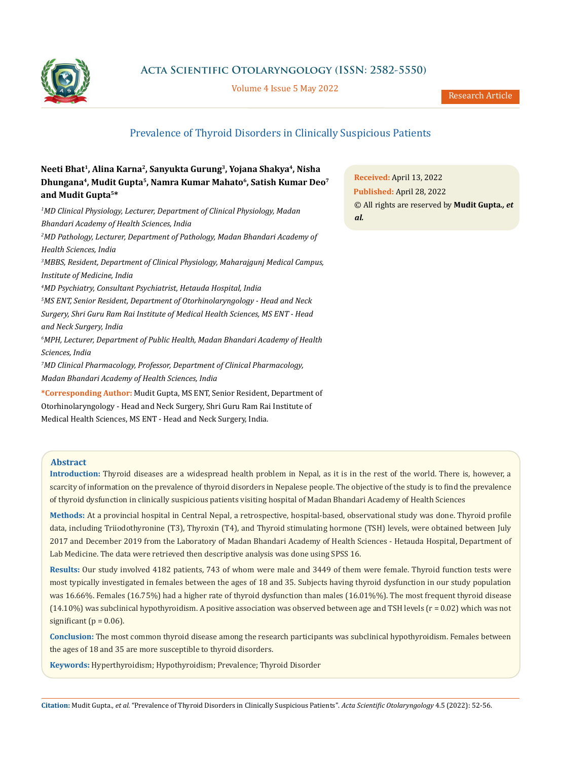

### **Acta Scientific Otolaryngology (ISSN: 2582-5550)**

Volume 4 Issue 5 May 2022

Research Article

## Prevalence of Thyroid Disorders in Clinically Suspicious Patients

### **Neeti Bhat1, Alina Karna2, Sanyukta Gurung3, Yojana Shakya4, Nisha Dhungana4, Mudit Gupta5, Namra Kumar Mahato6, Satish Kumar Deo7 and Mudit Gupta5\***

*1 MD Clinical Physiology, Lecturer, Department of Clinical Physiology, Madan Bhandari Academy of Health Sciences, India 2 MD Pathology, Lecturer, Department of Pathology, Madan Bhandari Academy of Health Sciences, India 3 MBBS, Resident, Department of Clinical Physiology, Maharajgunj Medical Campus, Institute of Medicine, India 4 MD Psychiatry, Consultant Psychiatrist, Hetauda Hospital, India 5 MS ENT, Senior Resident, Department of Otorhinolaryngology - Head and Neck Surgery, Shri Guru Ram Rai Institute of Medical Health Sciences, MS ENT - Head and Neck Surgery, India 6 MPH, Lecturer, Department of Public Health, Madan Bhandari Academy of Health Sciences, India 7 MD Clinical Pharmacology, Professor, Department of Clinical Pharmacology, Madan Bhandari Academy of Health Sciences, India* **\*Corresponding Author:** Mudit Gupta, MS ENT, Senior Resident, Department of Otorhinolaryngology - Head and Neck Surgery, Shri Guru Ram Rai Institute of

Medical Health Sciences, MS ENT - Head and Neck Surgery, India.

# **Received:** April 13, 2022 **Published:** April 28, 2022 © All rights are reserved by **Mudit Gupta***., et al.*

#### **Abstract**

**Introduction:** Thyroid diseases are a widespread health problem in Nepal, as it is in the rest of the world. There is, however, a scarcity of information on the prevalence of thyroid disorders in Nepalese people. The objective of the study is to find the prevalence of thyroid dysfunction in clinically suspicious patients visiting hospital of Madan Bhandari Academy of Health Sciences

**Methods:** At a provincial hospital in Central Nepal, a retrospective, hospital-based, observational study was done. Thyroid profile data, including Triiodothyronine (T3), Thyroxin (T4), and Thyroid stimulating hormone (TSH) levels, were obtained between July 2017 and December 2019 from the Laboratory of Madan Bhandari Academy of Health Sciences - Hetauda Hospital, Department of Lab Medicine. The data were retrieved then descriptive analysis was done using SPSS 16.

**Results:** Our study involved 4182 patients, 743 of whom were male and 3449 of them were female. Thyroid function tests were most typically investigated in females between the ages of 18 and 35. Subjects having thyroid dysfunction in our study population was 16.66%. Females (16.75%) had a higher rate of thyroid dysfunction than males (16.01%%). The most frequent thyroid disease  $(14.10%)$  was subclinical hypothyroidism. A positive association was observed between age and TSH levels  $(r = 0.02)$  which was not significant ( $p = 0.06$ ).

**Conclusion:** The most common thyroid disease among the research participants was subclinical hypothyroidism. Females between the ages of 18 and 35 are more susceptible to thyroid disorders.

**Keywords:** Hyperthyroidism; Hypothyroidism; Prevalence; Thyroid Disorder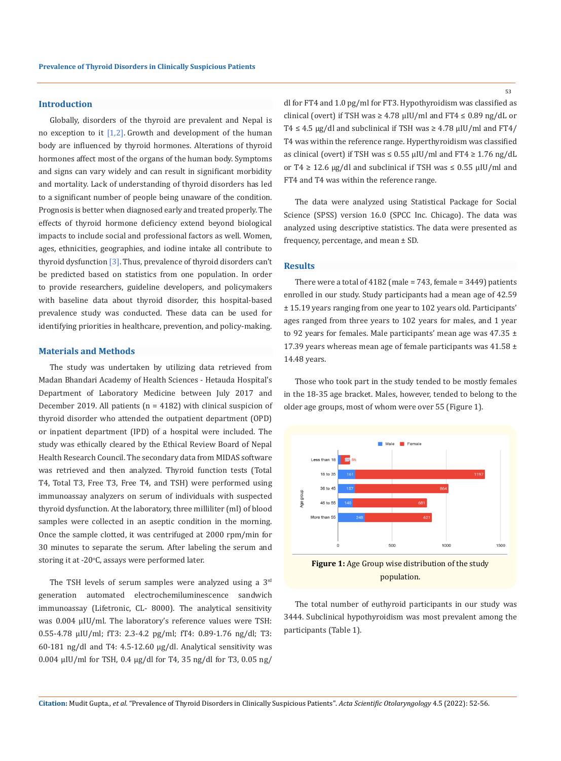#### **Introduction**

Globally, disorders of the thyroid are prevalent and Nepal is no exception to it [1,2]. Growth and development of the human body are influenced by thyroid hormones. Alterations of thyroid hormones affect most of the organs of the human body. Symptoms and signs can vary widely and can result in significant morbidity and mortality. Lack of understanding of thyroid disorders has led to a significant number of people being unaware of the condition. Prognosis is better when diagnosed early and treated properly. The effects of thyroid hormone deficiency extend beyond biological impacts to include social and professional factors as well. Women, ages, ethnicities, geographies, and iodine intake all contribute to thyroid dysfunction [3]. Thus, prevalence of thyroid disorders can't be predicted based on statistics from one population. In order to provide researchers, guideline developers, and policymakers with baseline data about thyroid disorder, this hospital-based prevalence study was conducted. These data can be used for identifying priorities in healthcare, prevention, and policy-making.

#### **Materials and Methods**

The study was undertaken by utilizing data retrieved from Madan Bhandari Academy of Health Sciences - Hetauda Hospital's Department of Laboratory Medicine between July 2017 and December 2019. All patients (n = 4182) with clinical suspicion of thyroid disorder who attended the outpatient department (OPD) or inpatient department (IPD) of a hospital were included. The study was ethically cleared by the Ethical Review Board of Nepal Health Research Council. The secondary data from MIDAS software was retrieved and then analyzed. Thyroid function tests (Total T4, Total T3, Free T3, Free T4, and TSH) were performed using immunoassay analyzers on serum of individuals with suspected thyroid dysfunction. At the laboratory, three milliliter (ml) of blood samples were collected in an aseptic condition in the morning. Once the sample clotted, it was centrifuged at 2000 rpm/min for 30 minutes to separate the serum. After labeling the serum and storing it at -20 $\mathrm{^o C}$ , assays were performed later.

The TSH levels of serum samples were analyzed using a 3rd generation automated electrochemiluminescence sandwich immunoassay (Lifetronic, CL- 8000). The analytical sensitivity was 0.004 μIU/ml. The laboratory's reference values were TSH: 0.55-4.78 µIU/ml; fT3: 2.3-4.2 pg/ml; fT4: 0.89-1.76 ng/dl; T3: 60-181 ng/dl and T4: 4.5-12.60 µg/dl. Analytical sensitivity was 0.004 μIU/ml for TSH, 0.4 µg/dl for T4, 35 ng/dl for T3, 0.05 ng/

dl for FT4 and 1.0 pg/ml for FT3. Hypothyroidism was classified as clinical (overt) if TSH was  $\geq 4.78 \mu$ IU/ml and FT4  $\leq 0.89$  ng/dL or T4  $\leq$  4.5 µg/dl and subclinical if TSH was  $\geq$  4.78 µIU/ml and FT4/ T4 was within the reference range. Hyperthyroidism was classified as clinical (overt) if TSH was  $\leq$  0.55  $\mu$ IU/ml and FT4  $\geq$  1.76 ng/dL or T4  $\geq$  12.6 µg/dl and subclinical if TSH was  $\leq$  0.55 µIU/ml and FT4 and T4 was within the reference range.

The data were analyzed using Statistical Package for Social Science (SPSS) version 16.0 (SPCC Inc. Chicago). The data was analyzed using descriptive statistics. The data were presented as frequency, percentage, and mean ± SD.

#### **Results**

There were a total of 4182 (male = 743, female = 3449) patients enrolled in our study. Study participants had a mean age of 42.59 ± 15.19 years ranging from one year to 102 years old. Participants' ages ranged from three years to 102 years for males, and 1 year to 92 years for females. Male participants' mean age was  $47.35 \pm$ 17.39 years whereas mean age of female participants was  $41.58 \pm$ 14.48 years.

Those who took part in the study tended to be mostly females in the 18-35 age bracket. Males, however, tended to belong to the older age groups, most of whom were over 55 (Figure 1).



population.

The total number of euthyroid participants in our study was 3444. Subclinical hypothyroidism was most prevalent among the participants (Table 1).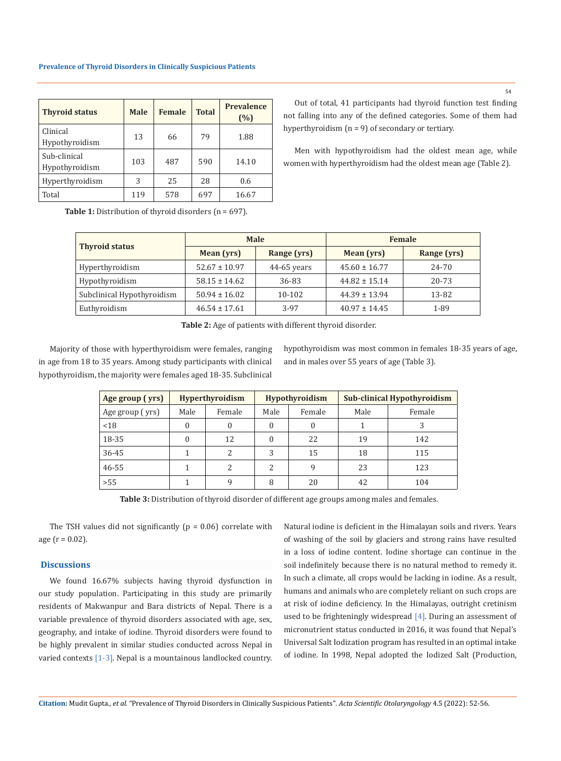| <b>Thyroid status</b>          | <b>Male</b> | <b>Female</b> | <b>Total</b> | <b>Prevalence</b><br>(%) |
|--------------------------------|-------------|---------------|--------------|--------------------------|
| Clinical<br>Hypothyroidism     | 13          | 66            | 79           | 1.88                     |
| Sub-clinical<br>Hypothyroidism | 103         | 487           | 590          | 14.10                    |
| Hyperthyroidism                | 3           | 25            | 28           | 0.6                      |
| Total                          | 119         | 578           | 697          | 16.67                    |

Out of total, 41 participants had thyroid function test finding not falling into any of the defined categories. Some of them had hyperthyroidism  $(n = 9)$  of secondary or tertiary.

Men with hypothyroidism had the oldest mean age, while women with hyperthyroidism had the oldest mean age (Table 2).

Table 1: Distribution of thyroid disorders (n = 697).

| <b>Thyroid status</b>      |                   | <b>Male</b>   | Female            |             |  |
|----------------------------|-------------------|---------------|-------------------|-------------|--|
|                            | Mean (yrs)        | Range (yrs)   | Mean (yrs)        | Range (yrs) |  |
| Hyperthyroidism            | $52.67 \pm 10.97$ | $44-65$ years | $45.60 \pm 16.77$ | 24-70       |  |
| Hypothyroidism             | $58.15 \pm 14.62$ | 36-83         | $44.82 \pm 15.14$ | 20-73       |  |
| Subclinical Hypothyroidism | $50.94 \pm 16.02$ | 10-102        | $44.39 \pm 13.94$ | 13-82       |  |
| Euthyroidism               | $46.54 \pm 17.61$ | 3-97          | $40.97 \pm 14.45$ | 1-89        |  |

**Table 2:** Age of patients with different thyroid disorder.

Majority of those with hyperthyroidism were females, ranging in age from 18 to 35 years. Among study participants with clinical hypothyroidism, the majority were females aged 18-35. Subclinical

hypothyroidism was most common in females 18-35 years of age, and in males over 55 years of age (Table 3).

| Age group (yrs) | Hyperthyroidism |               | <b>Hypothyroidism</b> |        | <b>Sub-clinical Hypothyroidism</b> |        |
|-----------------|-----------------|---------------|-----------------------|--------|------------------------------------|--------|
| Age group (yrs) | Male            | Female        | Male                  | Female | Male                               | Female |
| < 18            |                 |               | 0                     |        |                                    |        |
| 18-35           | $\Omega$        | 12            |                       | 22     | 19                                 | 142    |
| 36-45           |                 | $\mathcal{L}$ | 3                     | 15     | 18                                 | 115    |
| $46 - 55$       |                 |               | 2                     | q      | 23                                 | 123    |
| >55             |                 | q             | 8                     | 20     | 42                                 | 104    |

**Table 3:** Distribution of thyroid disorder of different age groups among males and females.

The TSH values did not significantly ( $p = 0.06$ ) correlate with age ( $r = 0.02$ ).

#### **Discussions**

We found 16.67% subjects having thyroid dysfunction in our study population. Participating in this study are primarily residents of Makwanpur and Bara districts of Nepal. There is a variable prevalence of thyroid disorders associated with age, sex, geography, and intake of iodine. Thyroid disorders were found to be highly prevalent in similar studies conducted across Nepal in varied contexts [1-3]. Nepal is a mountainous landlocked country.

Natural iodine is deficient in the Himalayan soils and rivers. Years of washing of the soil by glaciers and strong rains have resulted in a loss of iodine content. Iodine shortage can continue in the soil indefinitely because there is no natural method to remedy it. In such a climate, all crops would be lacking in iodine. As a result, humans and animals who are completely reliant on such crops are at risk of iodine deficiency. In the Himalayas, outright cretinism used to be frighteningly widespread [4]. During an assessment of micronutrient status conducted in 2016, it was found that Nepal's Universal Salt Iodization program has resulted in an optimal intake of iodine. In 1998, Nepal adopted the Iodized Salt (Production,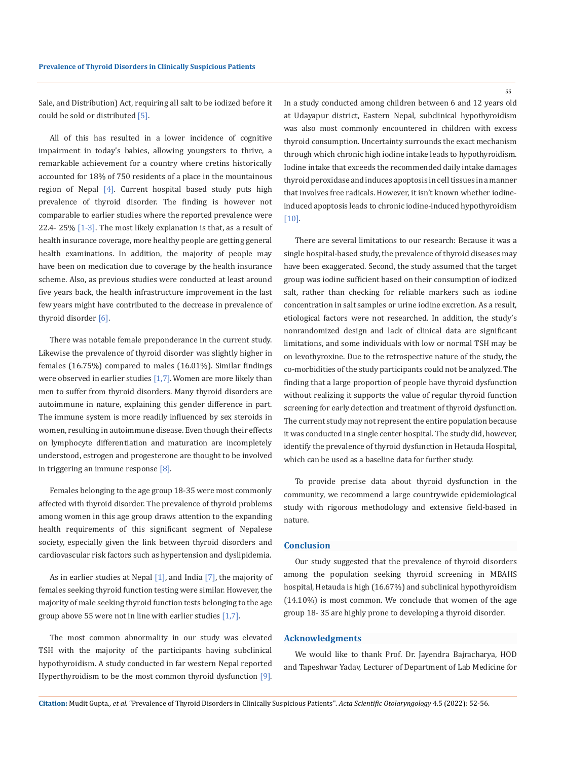Sale, and Distribution) Act, requiring all salt to be iodized before it could be sold or distributed [5].

All of this has resulted in a lower incidence of cognitive impairment in today's babies, allowing youngsters to thrive, a remarkable achievement for a country where cretins historically accounted for 18% of 750 residents of a place in the mountainous region of Nepal [4]. Current hospital based study puts high prevalence of thyroid disorder. The finding is however not comparable to earlier studies where the reported prevalence were 22.4- 25% [1-3]. The most likely explanation is that, as a result of health insurance coverage, more healthy people are getting general health examinations. In addition, the majority of people may have been on medication due to coverage by the health insurance scheme. Also, as previous studies were conducted at least around five years back, the health infrastructure improvement in the last few years might have contributed to the decrease in prevalence of thyroid disorder [6].

There was notable female preponderance in the current study. Likewise the prevalence of thyroid disorder was slightly higher in females (16.75%) compared to males (16.01%). Similar findings were observed in earlier studies [1,7].Women are more likely than men to suffer from thyroid disorders. Many thyroid disorders are autoimmune in nature, explaining this gender difference in part. The immune system is more readily influenced by sex steroids in women, resulting in autoimmune disease. Even though their effects on lymphocyte differentiation and maturation are incompletely understood, estrogen and progesterone are thought to be involved in triggering an immune response [8].

Females belonging to the age group 18-35 were most commonly affected with thyroid disorder. The prevalence of thyroid problems among women in this age group draws attention to the expanding health requirements of this significant segment of Nepalese society, especially given the link between thyroid disorders and cardiovascular risk factors such as hypertension and dyslipidemia.

As in earlier studies at Nepal  $[1]$ , and India  $[7]$ , the majority of females seeking thyroid function testing were similar. However, the majority of male seeking thyroid function tests belonging to the age group above 55 were not in line with earlier studies [1,7].

The most common abnormality in our study was elevated TSH with the majority of the participants having subclinical hypothyroidism. A study conducted in far western Nepal reported Hyperthyroidism to be the most common thyroid dysfunction [9]. In a study conducted among children between 6 and 12 years old at Udayapur district, Eastern Nepal, subclinical hypothyroidism was also most commonly encountered in children with excess thyroid consumption. Uncertainty surrounds the exact mechanism through which chronic high iodine intake leads to hypothyroidism. Iodine intake that exceeds the recommended daily intake damages thyroid peroxidase and induces apoptosis in cell tissues in a manner that involves free radicals. However, it isn't known whether iodineinduced apoptosis leads to chronic iodine-induced hypothyroidism [10].

There are several limitations to our research: Because it was a single hospital-based study, the prevalence of thyroid diseases may have been exaggerated. Second, the study assumed that the target group was iodine sufficient based on their consumption of iodized salt, rather than checking for reliable markers such as iodine concentration in salt samples or urine iodine excretion. As a result, etiological factors were not researched. In addition, the study's nonrandomized design and lack of clinical data are significant limitations, and some individuals with low or normal TSH may be on levothyroxine. Due to the retrospective nature of the study, the co-morbidities of the study participants could not be analyzed. The finding that a large proportion of people have thyroid dysfunction without realizing it supports the value of regular thyroid function screening for early detection and treatment of thyroid dysfunction. The current study may not represent the entire population because it was conducted in a single center hospital. The study did, however, identify the prevalence of thyroid dysfunction in Hetauda Hospital, which can be used as a baseline data for further study.

To provide precise data about thyroid dysfunction in the community, we recommend a large countrywide epidemiological study with rigorous methodology and extensive field-based in nature.

#### **Conclusion**

Our study suggested that the prevalence of thyroid disorders among the population seeking thyroid screening in MBAHS hospital, Hetauda is high (16.67%) and subclinical hypothyroidism (14.10%) is most common. We conclude that women of the age group 18- 35 are highly prone to developing a thyroid disorder.

#### **Acknowledgments**

We would like to thank Prof. Dr. Jayendra Bajracharya, HOD and Tapeshwar Yadav, Lecturer of Department of Lab Medicine for

55